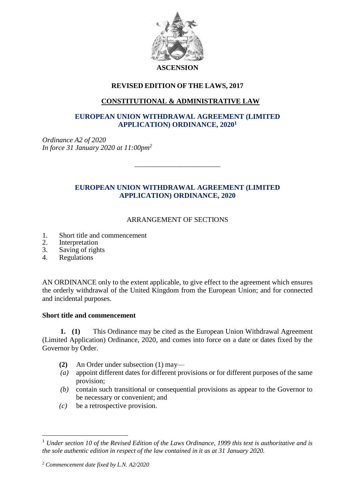

#### **ASCENSION**

# **REVISED EDITION OF THE LAWS, 2017**

## **CONSTITUTIONAL & ADMINISTRATIVE LAW**

### **EUROPEAN UNION WITHDRAWAL AGREEMENT (LIMITED APPLICATION) ORDINANCE, 2020<sup>1</sup>**

*Ordinance A2 of 2020 In force 31 January 2020 at 11:00pm<sup>2</sup>*

### **EUROPEAN UNION WITHDRAWAL AGREEMENT (LIMITED APPLICATION) ORDINANCE, 2020**

\_\_\_\_\_\_\_\_\_\_\_\_\_\_\_\_\_\_\_\_\_\_\_\_

### ARRANGEMENT OF SECTIONS

- 1. Short title and commencement
- 2. Interpretation<br>3. Saving of right
- Saving of rights
- 4. Regulations

AN ORDINANCE only to the extent applicable, to give effect to the agreement which ensures the orderly withdrawal of the United Kingdom from the European Union; and for connected and incidental purposes.

#### **Short title and commencement**

**1. (1)** This Ordinance may be cited as the European Union Withdrawal Agreement (Limited Application) Ordinance, 2020, and comes into force on a date or dates fixed by the Governor by Order.

- **(2)** An Order under subsection (1) may—
- *(a)* appoint different dates for different provisions or for different purposes of the same provision;
- *(b)* contain such transitional or consequential provisions as appear to the Governor to be necessary or convenient; and
- *(c)* be a retrospective provision.

 $\overline{a}$ 

<sup>1</sup> *Under section 10 of the Revised Edition of the Laws Ordinance, 1999 this text is authoritative and is the sole authentic edition in respect of the law contained in it as at 31 January 2020.*

<sup>2</sup> *Commencement date fixed by L.N. A2/2020*